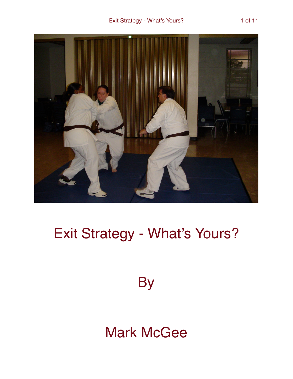

# Exit Strategy - What's Yours?

**By** 

## **Mark McGee**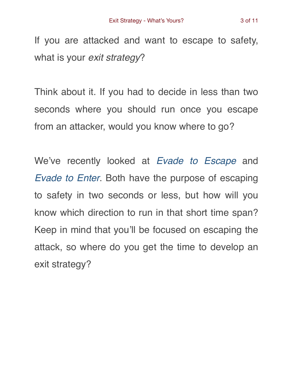If you are attacked and want to escape to safety, what is your *exit strategy*?

Think about it. If you had to decide in less than two seconds where you should run once you escape from an attacker, would you know where to go?

We've recently looked at *[Evade to Escape](https://gracemartialarts.com/2018/06/16/evade-to-escape/)* and *[Evade to Enter](https://gracemartialarts.com/2018/06/23/evade-to-enter/)*. Both have the purpose of escaping to safety in two seconds or less, but how will you know which direction to run in that short time span? Keep in mind that you'll be focused on escaping the attack, so where do you get the time to develop an exit strategy?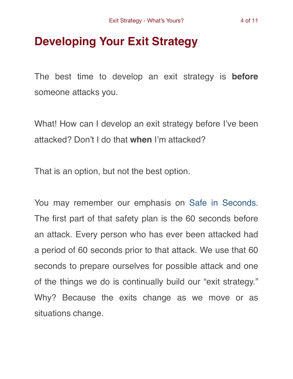### **Developing Your Exit Strategy**

The best time to develop an exit strategy is **before** someone attacks you.

What! How can I develop an exit strategy before I've been attacked? Don't I do that **when** I'm attacked?

That is an option, but not the best option.

You may remember our emphasis on [Safe in Seconds.](https://gracemartialarts.com/safe-in-seconds/) The first part of that safety plan is the 60 seconds before an attack. Every person who has ever been attacked had a period of 60 seconds prior to that attack. We use that 60 seconds to prepare ourselves for possible attack and one of the things we do is continually build our "exit strategy." Why? Because the exits change as we move or as situations change.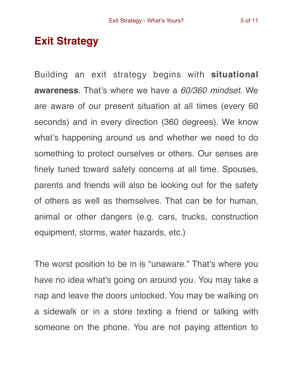#### **Exit Strategy**

Building an exit strategy begins with **situational awareness**. That's where we have a *60/360 mindset*. We are aware of our present situation at all times (every 60 seconds) and in every direction (360 degrees). We know what's happening around us and whether we need to do something to protect ourselves or others. Our senses are finely tuned toward safety concerns at all time. Spouses, parents and friends will also be looking out for the safety of others as well as themselves. That can be for human, animal or other dangers (e.g. cars, trucks, construction equipment, storms, water hazards, etc.)

The worst position to be in is "unaware." That's where you have no idea what's going on around you. You may take a nap and leave the doors unlocked. You may be walking on a sidewalk or in a store texting a friend or talking with someone on the phone. You are not paying attention to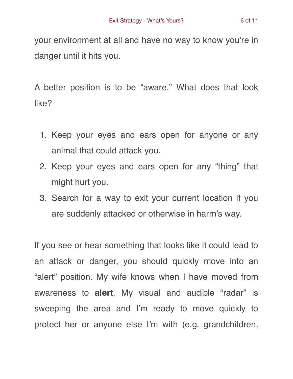your environment at all and have no way to know you're in danger until it hits you.

A better position is to be "aware." What does that look like?

- 1. Keep your eyes and ears open for anyone or any animal that could attack you.
- 2. Keep your eyes and ears open for any "thing" that might hurt you.
- 3. Search for a way to exit your current location if you are suddenly attacked or otherwise in harm's way.

If you see or hear something that looks like it could lead to an attack or danger, you should quickly move into an "alert" position. My wife knows when I have moved from awareness to **alert**. My visual and audible "radar" is sweeping the area and I'm ready to move quickly to protect her or anyone else I'm with (e.g. grandchildren,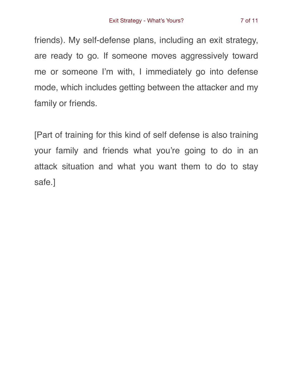friends). My self-defense plans, including an exit strategy, are ready to go. If someone moves aggressively toward me or someone I'm with, I immediately go into defense mode, which includes getting between the attacker and my family or friends.

[Part of training for this kind of self defense is also training your family and friends what you're going to do in an attack situation and what you want them to do to stay safe.]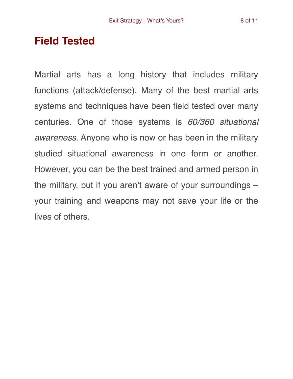#### **Field Tested**

Martial arts has a long history that includes military functions (attack/defense). Many of the best martial arts systems and techniques have been field tested over many centuries. One of those systems is *60/360 situational awareness*. Anyone who is now or has been in the military studied situational awareness in one form or another. However, you can be the best trained and armed person in the military, but if you aren't aware of your surroundings – your training and weapons may not save your life or the lives of others.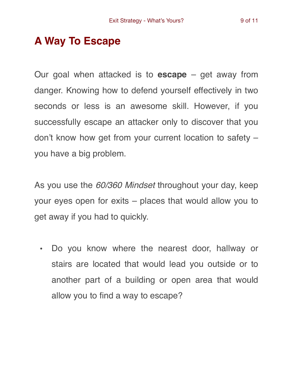#### **A Way To Escape**

Our goal when attacked is to **escape** – get away from danger. Knowing how to defend yourself effectively in two seconds or less is an awesome skill. However, if you successfully escape an attacker only to discover that you don't know how get from your current location to safety – you have a big problem.

As you use the *60/360 Mindset* throughout your day, keep your eyes open for exits – places that would allow you to get away if you had to quickly.

• Do you know where the nearest door, hallway or stairs are located that would lead you outside or to another part of a building or open area that would allow you to find a way to escape?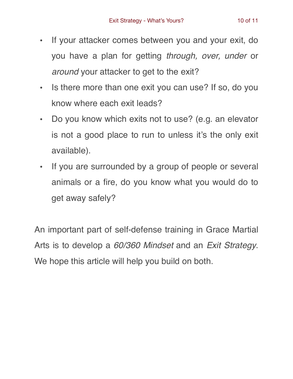- 
- If your attacker comes between you and your exit, do you have a plan for getting *through, over, under* or *around* your attacker to get to the exit?
- Is there more than one exit you can use? If so, do you know where each exit leads?
- Do you know which exits not to use? (e.g. an elevator is not a good place to run to unless it's the only exit available).
- If you are surrounded by a group of people or several animals or a fire, do you know what you would do to get away safely?

An important part of self-defense training in Grace Martial Arts is to develop a *60/360 Mindset* and an *Exit Strategy*. We hope this article will help you build on both.